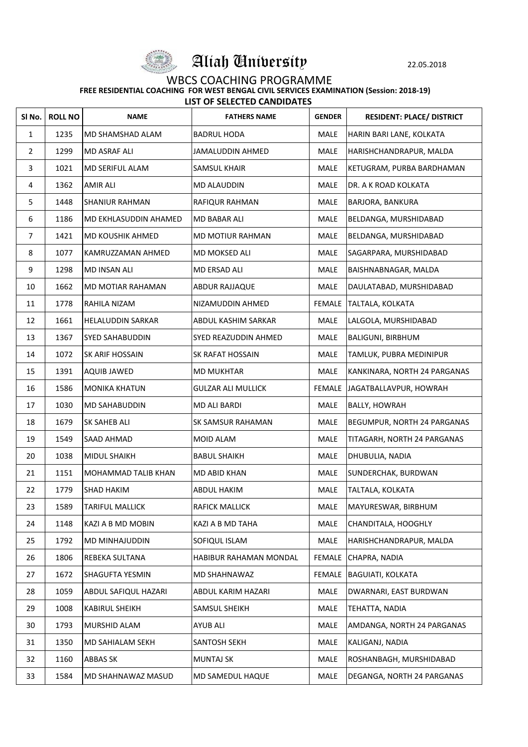

Aliah University 22.05.2018

## WBCS COACHING PROGRAMME

 **FREE RESIDENTIAL COACHING FOR WEST BENGAL CIVIL SERVICES EXAMINATION (Session: 2018-19)**

| <b>LIST OF SELECTED CANDIDATES</b> |  |
|------------------------------------|--|
|------------------------------------|--|

| SI No.         | <b>ROLL NO</b> | <b>NAME</b>                  | <b>FATHERS NAME</b>       | <b>GENDER</b> | <b>RESIDENT: PLACE/ DISTRICT</b>   |
|----------------|----------------|------------------------------|---------------------------|---------------|------------------------------------|
| $\mathbf{1}$   | 1235           | <b>MD SHAMSHAD ALAM</b>      | <b>BADRUL HODA</b>        | <b>MALE</b>   | HARIN BARI LANE, KOLKATA           |
| $\overline{2}$ | 1299           | <b>MD ASRAF ALI</b>          | JAMALUDDIN AHMED          | <b>MALE</b>   | HARISHCHANDRAPUR, MALDA            |
| $\overline{3}$ | 1021           | MD SERIFUL ALAM              | <b>SAMSUL KHAIR</b>       | <b>MALE</b>   | KETUGRAM, PURBA BARDHAMAN          |
| 4              | 1362           | <b>AMIR ALI</b>              | <b>MD ALAUDDIN</b>        | <b>MALE</b>   | DR. A K ROAD KOLKATA               |
| 5              | 1448           | <b>SHANIUR RAHMAN</b>        | RAFIQUR RAHMAN            | <b>MALE</b>   | <b>BARJORA, BANKURA</b>            |
| 6              | 1186           | <b>MD EKHLASUDDIN AHAMED</b> | <b>MD BABAR ALI</b>       | <b>MALE</b>   | BELDANGA, MURSHIDABAD              |
| $\overline{7}$ | 1421           | <b>MD KOUSHIK AHMED</b>      | <b>MD MOTIUR RAHMAN</b>   | <b>MALE</b>   | BELDANGA, MURSHIDABAD              |
| 8              | 1077           | KAMRUZZAMAN AHMED            | <b>MD MOKSED ALI</b>      | <b>MALE</b>   | SAGARPARA, MURSHIDABAD             |
| 9              | 1298           | <b>MD INSAN ALI</b>          | <b>MD ERSAD ALI</b>       | <b>MALE</b>   | BAISHNABNAGAR, MALDA               |
| 10             | 1662           | <b>MD MOTIAR RAHAMAN</b>     | <b>ABDUR RAJJAQUE</b>     | <b>MALE</b>   | DAULATABAD, MURSHIDABAD            |
| 11             | 1778           | RAHILA NIZAM                 | NIZAMUDDIN AHMED          | <b>FEMALE</b> | TALTALA, KOLKATA                   |
| 12             | 1661           | <b>HELALUDDIN SARKAR</b>     | ABDUL KASHIM SARKAR       | <b>MALE</b>   | LALGOLA, MURSHIDABAD               |
| 13             | 1367           | <b>SYED SAHABUDDIN</b>       | SYED REAZUDDIN AHMED      | <b>MALE</b>   | <b>BALIGUNI, BIRBHUM</b>           |
| 14             | 1072           | <b>SK ARIF HOSSAIN</b>       | SK RAFAT HOSSAIN          | <b>MALE</b>   | TAMLUK, PUBRA MEDINIPUR            |
| 15             | 1391           | <b>AQUIB JAWED</b>           | <b>MD MUKHTAR</b>         | <b>MALE</b>   | KANKINARA, NORTH 24 PARGANAS       |
| 16             | 1586           | <b>MONIKA KHATUN</b>         | <b>GULZAR ALI MULLICK</b> | <b>FEMALE</b> | JAGATBALLAVPUR, HOWRAH             |
| 17             | 1030           | <b>MD SAHABUDDIN</b>         | <b>MD ALI BARDI</b>       | <b>MALE</b>   | <b>BALLY, HOWRAH</b>               |
| 18             | 1679           | <b>SK SAHEB ALI</b>          | <b>SK SAMSUR RAHAMAN</b>  | <b>MALE</b>   | <b>BEGUMPUR, NORTH 24 PARGANAS</b> |
| 19             | 1549           | <b>SAAD AHMAD</b>            | <b>MOID ALAM</b>          | <b>MALE</b>   | TITAGARH, NORTH 24 PARGANAS        |
| 20             | 1038           | <b>MIDUL SHAIKH</b>          | <b>BABUL SHAIKH</b>       | <b>MALE</b>   | DHUBULIA, NADIA                    |
| 21             | 1151           | <b>MOHAMMAD TALIB KHAN</b>   | <b>MD ABID KHAN</b>       | <b>MALE</b>   | SUNDERCHAK, BURDWAN                |
| 22             | 1779           | <b>SHAD HAKIM</b>            | <b>ABDUL HAKIM</b>        | <b>MALE</b>   | TALTALA, KOLKATA                   |
| 23             | 1589           | <b>TARIFUL MALLICK</b>       | <b>RAFICK MALLICK</b>     | <b>MALE</b>   | MAYURESWAR, BIRBHUM                |
| 24             | 1148           | <b>KAZI A B MD MOBIN</b>     | KAZI A B MD TAHA          | <b>MALE</b>   | CHANDITALA, HOOGHLY                |
| 25             | 1792           | <b>MD MINHAJUDDIN</b>        | SOFIQUL ISLAM             | <b>MALE</b>   | HARISHCHANDRAPUR, MALDA            |
| 26             | 1806           | <b>REBEKA SULTANA</b>        | HABIBUR RAHAMAN MONDAL    | <b>FEMALE</b> | CHAPRA, NADIA                      |
| 27             | 1672           | <b>SHAGUFTA YESMIN</b>       | MD SHAHNAWAZ              | <b>FEMALE</b> | <b>BAGUIATI, KOLKATA</b>           |
| 28             | 1059           | <b>ABDUL SAFIQUL HAZARI</b>  | <b>ABDUL KARIM HAZARI</b> | <b>MALE</b>   | DWARNARI, EAST BURDWAN             |
| 29             | 1008           | <b>KABIRUL SHEIKH</b>        | <b>SAMSUL SHEIKH</b>      | <b>MALE</b>   | TEHATTA, NADIA                     |
| 30             | 1793           | <b>MURSHID ALAM</b>          | <b>AYUB ALI</b>           | <b>MALE</b>   | AMDANGA, NORTH 24 PARGANAS         |
| 31             | 1350           | <b>MD SAHIALAM SEKH</b>      | <b>SANTOSH SEKH</b>       | <b>MALE</b>   | KALIGANJ, NADIA                    |
| 32             | 1160           | <b>ABBAS SK</b>              | <b>MUNTAJ SK</b>          | <b>MALE</b>   | ROSHANBAGH, MURSHIDABAD            |
| 33             | 1584           | MD SHAHNAWAZ MASUD           | MD SAMEDUL HAQUE          | <b>MALE</b>   | DEGANGA, NORTH 24 PARGANAS         |